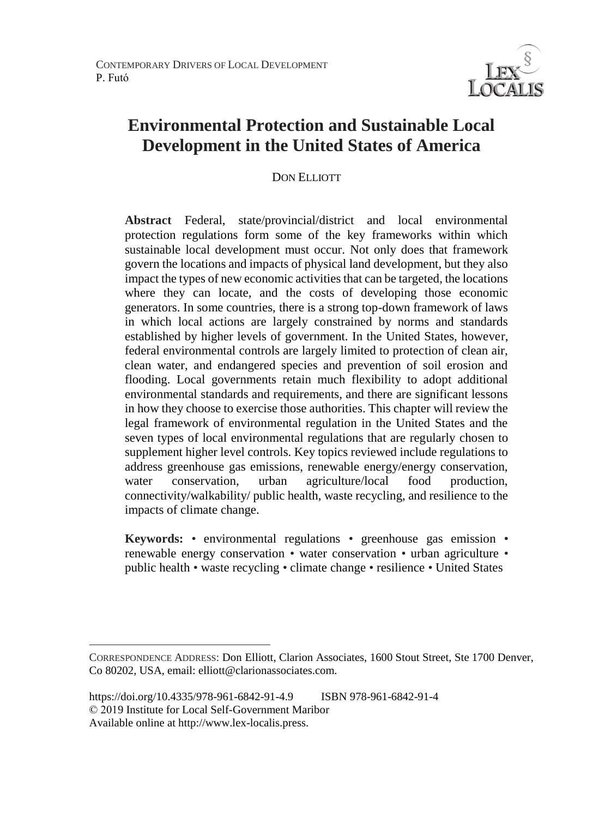

# **Environmental Protection and Sustainable Local Development in the United States of America**

## DON ELLIOTT

**Abstract** Federal, state/provincial/district and local environmental protection regulations form some of the key frameworks within which sustainable local development must occur. Not only does that framework govern the locations and impacts of physical land development, but they also impact the types of new economic activities that can be targeted, the locations where they can locate, and the costs of developing those economic generators. In some countries, there is a strong top-down framework of laws in which local actions are largely constrained by norms and standards established by higher levels of government. In the United States, however, federal environmental controls are largely limited to protection of clean air, clean water, and endangered species and prevention of soil erosion and flooding. Local governments retain much flexibility to adopt additional environmental standards and requirements, and there are significant lessons in how they choose to exercise those authorities. This chapter will review the legal framework of environmental regulation in the United States and the seven types of local environmental regulations that are regularly chosen to supplement higher level controls. Key topics reviewed include regulations to address greenhouse gas emissions, renewable energy/energy conservation, water conservation, urban agriculture/local food production, connectivity/walkability/ public health, waste recycling, and resilience to the impacts of climate change.

**Keywords:** • environmental regulations • greenhouse gas emission • renewable energy conservation • water conservation • urban agriculture • public health • waste recycling • climate change • resilience • United States

 $\overline{a}$ 

CORRESPONDENCE ADDRESS: Don Elliott, Clarion Associates, 1600 Stout Street, Ste 1700 Denver, Co 80202, USA, email: elliott@clarionassociates.com.

https://doi.org/10.4335/978-961-6842-91-4.9 ISBN 978-961-6842-91-4 © 2019 Institute for Local Self-Government Maribor Available online at http://www.lex-localis.press.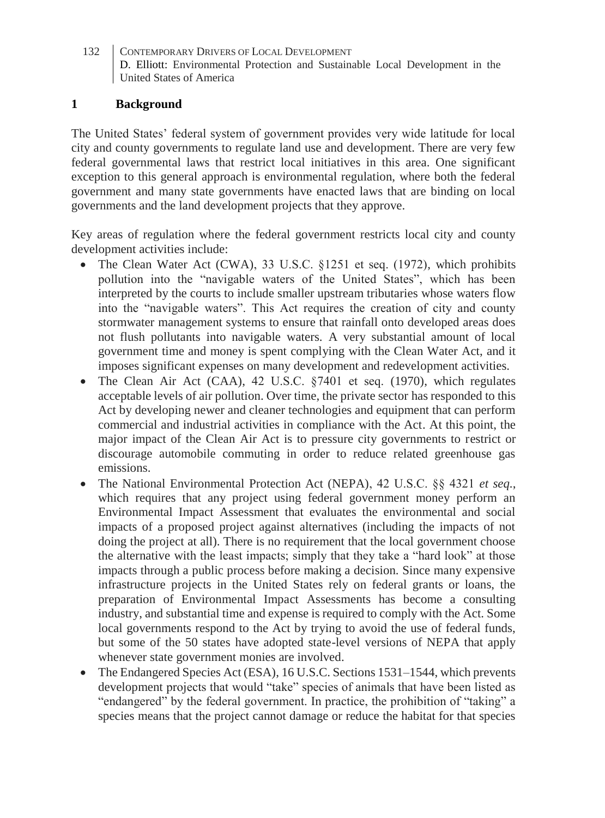# **1 Background**

The United States' federal system of government provides very wide latitude for local city and county governments to regulate land use and development. There are very few federal governmental laws that restrict local initiatives in this area. One significant exception to this general approach is environmental regulation, where both the federal government and many state governments have enacted laws that are binding on local governments and the land development projects that they approve.

Key areas of regulation where the federal government restricts local city and county development activities include:

- The Clean Water Act (CWA), 33 U.S.C. §1251 et seq. (1972), which prohibits pollution into the "navigable waters of the United States", which has been interpreted by the courts to include smaller upstream tributaries whose waters flow into the "navigable waters". This Act requires the creation of city and county stormwater management systems to ensure that rainfall onto developed areas does not flush pollutants into navigable waters. A very substantial amount of local government time and money is spent complying with the Clean Water Act, and it imposes significant expenses on many development and redevelopment activities.
- The Clean Air Act (CAA), 42 U.S.C. §7401 et seq. (1970), which regulates acceptable levels of air pollution. Over time, the private sector has responded to this Act by developing newer and cleaner technologies and equipment that can perform commercial and industrial activities in compliance with the Act. At this point, the major impact of the Clean Air Act is to pressure city governments to restrict or discourage automobile commuting in order to reduce related greenhouse gas emissions.
- The National Environmental Protection Act (NEPA), 42 U.S.C. §§ 4321 *et seq.*, which requires that any project using federal government money perform an Environmental Impact Assessment that evaluates the environmental and social impacts of a proposed project against alternatives (including the impacts of not doing the project at all). There is no requirement that the local government choose the alternative with the least impacts; simply that they take a "hard look" at those impacts through a public process before making a decision. Since many expensive infrastructure projects in the United States rely on federal grants or loans, the preparation of Environmental Impact Assessments has become a consulting industry, and substantial time and expense is required to comply with the Act. Some local governments respond to the Act by trying to avoid the use of federal funds, but some of the 50 states have adopted state-level versions of NEPA that apply whenever state government monies are involved.
- The Endangered Species Act (ESA), 16 U.S.C. Sections 1531–1544, which prevents development projects that would "take" species of animals that have been listed as "endangered" by the federal government. In practice, the prohibition of "taking" a species means that the project cannot damage or reduce the habitat for that species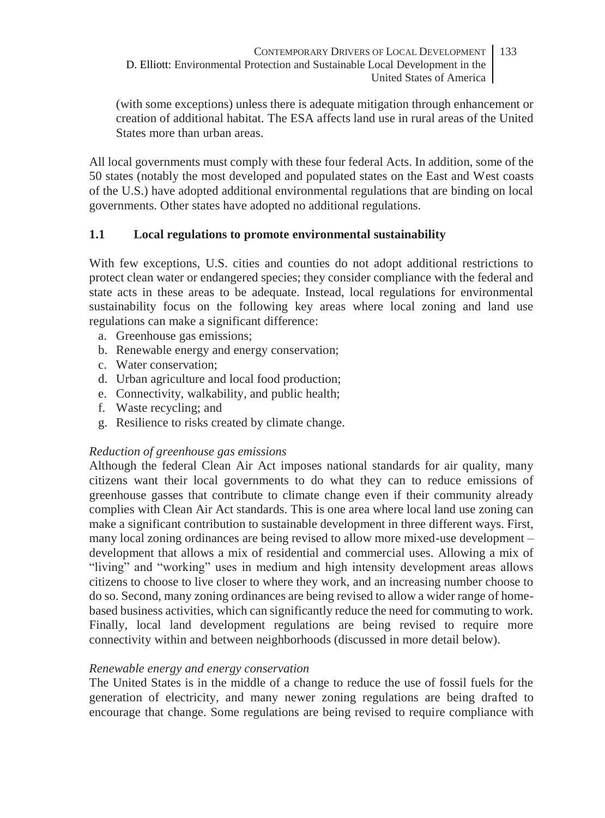(with some exceptions) unless there is adequate mitigation through enhancement or creation of additional habitat. The ESA affects land use in rural areas of the United States more than urban areas.

All local governments must comply with these four federal Acts. In addition, some of the 50 states (notably the most developed and populated states on the East and West coasts of the U.S.) have adopted additional environmental regulations that are binding on local governments. Other states have adopted no additional regulations.

# **1.1 Local regulations to promote environmental sustainability**

With few exceptions, U.S. cities and counties do not adopt additional restrictions to protect clean water or endangered species; they consider compliance with the federal and state acts in these areas to be adequate. Instead, local regulations for environmental sustainability focus on the following key areas where local zoning and land use regulations can make a significant difference:

- a. Greenhouse gas emissions;
- b. Renewable energy and energy conservation;
- c. Water conservation;
- d. Urban agriculture and local food production;
- e. Connectivity, walkability, and public health;
- f. Waste recycling; and
- g. Resilience to risks created by climate change.

## *Reduction of greenhouse gas emissions*

Although the federal Clean Air Act imposes national standards for air quality, many citizens want their local governments to do what they can to reduce emissions of greenhouse gasses that contribute to climate change even if their community already complies with Clean Air Act standards. This is one area where local land use zoning can make a significant contribution to sustainable development in three different ways. First, many local zoning ordinances are being revised to allow more mixed-use development – development that allows a mix of residential and commercial uses. Allowing a mix of "living" and "working" uses in medium and high intensity development areas allows citizens to choose to live closer to where they work, and an increasing number choose to do so. Second, many zoning ordinances are being revised to allow a wider range of homebased business activities, which can significantly reduce the need for commuting to work. Finally, local land development regulations are being revised to require more connectivity within and between neighborhoods (discussed in more detail below).

## *Renewable energy and energy conservation*

The United States is in the middle of a change to reduce the use of fossil fuels for the generation of electricity, and many newer zoning regulations are being drafted to encourage that change. Some regulations are being revised to require compliance with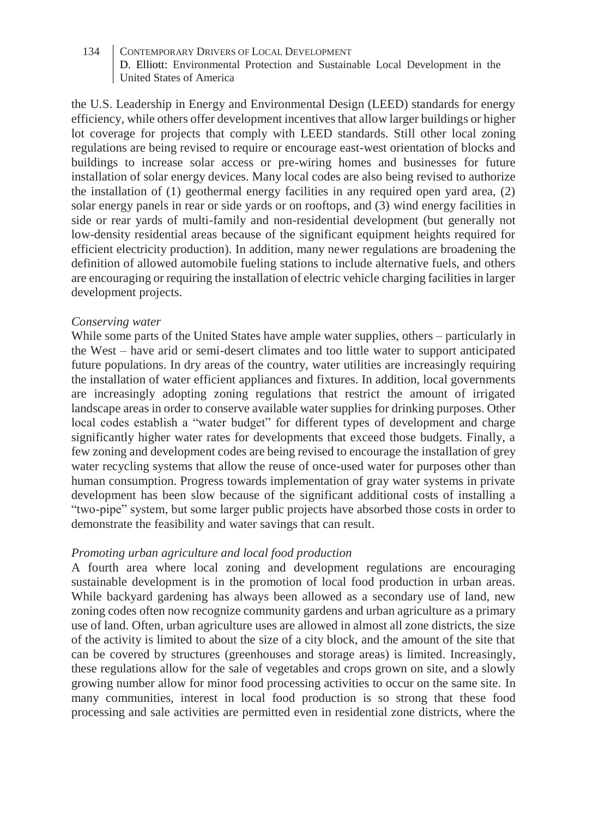the U.S. Leadership in Energy and Environmental Design (LEED) standards for energy efficiency, while others offer development incentives that allow larger buildings or higher lot coverage for projects that comply with LEED standards. Still other local zoning regulations are being revised to require or encourage east-west orientation of blocks and buildings to increase solar access or pre-wiring homes and businesses for future installation of solar energy devices. Many local codes are also being revised to authorize the installation of (1) geothermal energy facilities in any required open yard area, (2) solar energy panels in rear or side yards or on rooftops, and (3) wind energy facilities in side or rear yards of multi-family and non-residential development (but generally not low-density residential areas because of the significant equipment heights required for efficient electricity production). In addition, many newer regulations are broadening the definition of allowed automobile fueling stations to include alternative fuels, and others are encouraging or requiring the installation of electric vehicle charging facilities in larger development projects.

#### *Conserving water*

While some parts of the United States have ample water supplies, others – particularly in the West – have arid or semi-desert climates and too little water to support anticipated future populations. In dry areas of the country, water utilities are increasingly requiring the installation of water efficient appliances and fixtures. In addition, local governments are increasingly adopting zoning regulations that restrict the amount of irrigated landscape areas in order to conserve available water supplies for drinking purposes. Other local codes establish a "water budget" for different types of development and charge significantly higher water rates for developments that exceed those budgets. Finally, a few zoning and development codes are being revised to encourage the installation of grey water recycling systems that allow the reuse of once-used water for purposes other than human consumption. Progress towards implementation of gray water systems in private development has been slow because of the significant additional costs of installing a "two-pipe" system, but some larger public projects have absorbed those costs in order to demonstrate the feasibility and water savings that can result.

## *Promoting urban agriculture and local food production*

A fourth area where local zoning and development regulations are encouraging sustainable development is in the promotion of local food production in urban areas. While backyard gardening has always been allowed as a secondary use of land, new zoning codes often now recognize community gardens and urban agriculture as a primary use of land. Often, urban agriculture uses are allowed in almost all zone districts, the size of the activity is limited to about the size of a city block, and the amount of the site that can be covered by structures (greenhouses and storage areas) is limited. Increasingly, these regulations allow for the sale of vegetables and crops grown on site, and a slowly growing number allow for minor food processing activities to occur on the same site. In many communities, interest in local food production is so strong that these food processing and sale activities are permitted even in residential zone districts, where the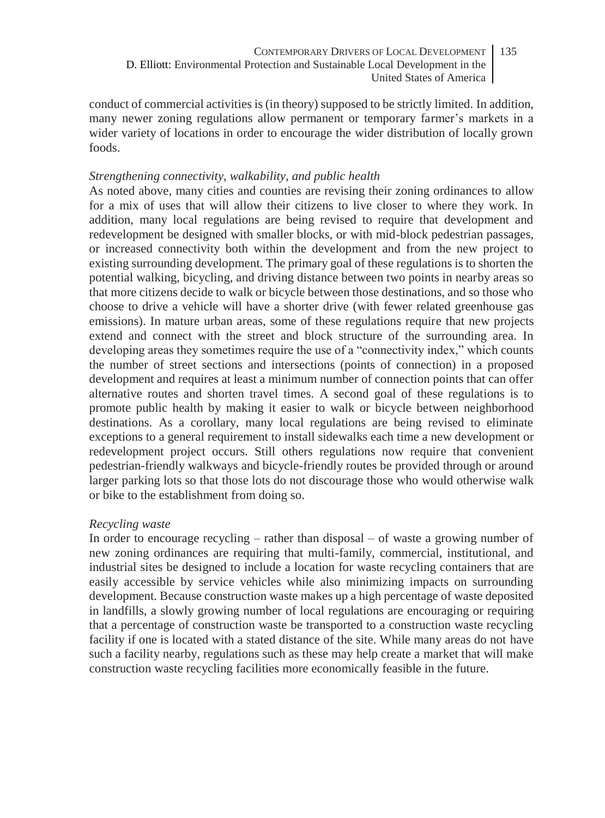conduct of commercial activities is (in theory) supposed to be strictly limited. In addition, many newer zoning regulations allow permanent or temporary farmer's markets in a wider variety of locations in order to encourage the wider distribution of locally grown foods.

#### *Strengthening connectivity, walkability, and public health*

As noted above, many cities and counties are revising their zoning ordinances to allow for a mix of uses that will allow their citizens to live closer to where they work. In addition, many local regulations are being revised to require that development and redevelopment be designed with smaller blocks, or with mid-block pedestrian passages, or increased connectivity both within the development and from the new project to existing surrounding development. The primary goal of these regulations is to shorten the potential walking, bicycling, and driving distance between two points in nearby areas so that more citizens decide to walk or bicycle between those destinations, and so those who choose to drive a vehicle will have a shorter drive (with fewer related greenhouse gas emissions). In mature urban areas, some of these regulations require that new projects extend and connect with the street and block structure of the surrounding area. In developing areas they sometimes require the use of a "connectivity index," which counts the number of street sections and intersections (points of connection) in a proposed development and requires at least a minimum number of connection points that can offer alternative routes and shorten travel times. A second goal of these regulations is to promote public health by making it easier to walk or bicycle between neighborhood destinations. As a corollary, many local regulations are being revised to eliminate exceptions to a general requirement to install sidewalks each time a new development or redevelopment project occurs. Still others regulations now require that convenient pedestrian-friendly walkways and bicycle-friendly routes be provided through or around larger parking lots so that those lots do not discourage those who would otherwise walk or bike to the establishment from doing so.

#### *Recycling waste*

In order to encourage recycling – rather than disposal – of waste a growing number of new zoning ordinances are requiring that multi-family, commercial, institutional, and industrial sites be designed to include a location for waste recycling containers that are easily accessible by service vehicles while also minimizing impacts on surrounding development. Because construction waste makes up a high percentage of waste deposited in landfills, a slowly growing number of local regulations are encouraging or requiring that a percentage of construction waste be transported to a construction waste recycling facility if one is located with a stated distance of the site. While many areas do not have such a facility nearby, regulations such as these may help create a market that will make construction waste recycling facilities more economically feasible in the future.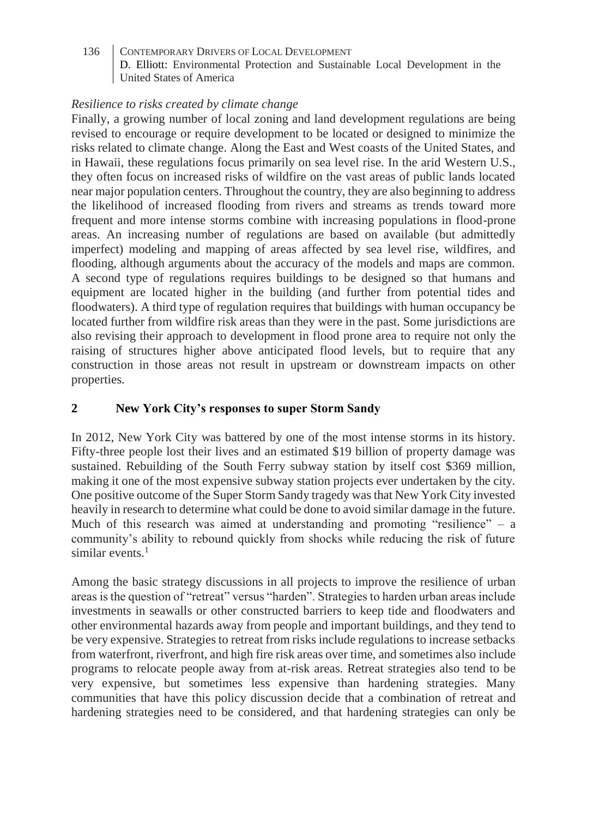# *Resilience to risks created by climate change*

Finally, a growing number of local zoning and land development regulations are being revised to encourage or require development to be located or designed to minimize the risks related to climate change. Along the East and West coasts of the United States, and in Hawaii, these regulations focus primarily on sea level rise. In the arid Western U.S., they often focus on increased risks of wildfire on the vast areas of public lands located near major population centers. Throughout the country, they are also beginning to address the likelihood of increased flooding from rivers and streams as trends toward more frequent and more intense storms combine with increasing populations in flood-prone areas. An increasing number of regulations are based on available (but admittedly imperfect) modeling and mapping of areas affected by sea level rise, wildfires, and flooding, although arguments about the accuracy of the models and maps are common. A second type of regulations requires buildings to be designed so that humans and equipment are located higher in the building (and further from potential tides and floodwaters). A third type of regulation requires that buildings with human occupancy be located further from wildfire risk areas than they were in the past. Some jurisdictions are also revising their approach to development in flood prone area to require not only the raising of structures higher above anticipated flood levels, but to require that any construction in those areas not result in upstream or downstream impacts on other properties.

# **2 New York City's responses to super Storm Sandy**

In 2012, New York City was battered by one of the most intense storms in its history. Fifty-three people lost their lives and an estimated \$19 billion of property damage was sustained. Rebuilding of the South Ferry subway station by itself cost \$369 million, making it one of the most expensive subway station projects ever undertaken by the city. One positive outcome of the Super Storm Sandy tragedy was that New York City invested heavily in research to determine what could be done to avoid similar damage in the future. Much of this research was aimed at understanding and promoting "resilience"  $-$  a community's ability to rebound quickly from shocks while reducing the risk of future similar events. $1$ 

Among the basic strategy discussions in all projects to improve the resilience of urban areas is the question of "retreat" versus "harden". Strategies to harden urban areas include investments in seawalls or other constructed barriers to keep tide and floodwaters and other environmental hazards away from people and important buildings, and they tend to be very expensive. Strategies to retreat from risks include regulations to increase setbacks from waterfront, riverfront, and high fire risk areas over time, and sometimes also include programs to relocate people away from at-risk areas. Retreat strategies also tend to be very expensive, but sometimes less expensive than hardening strategies. Many communities that have this policy discussion decide that a combination of retreat and hardening strategies need to be considered, and that hardening strategies can only be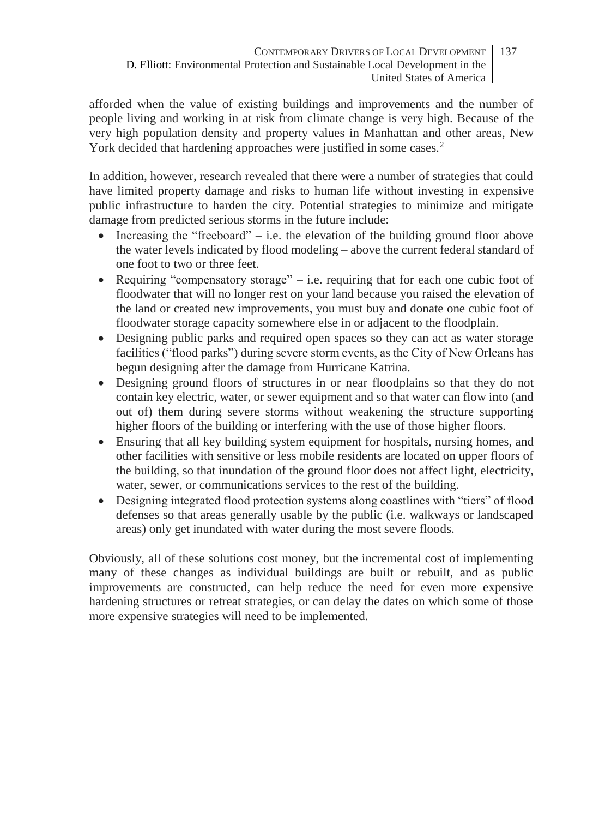afforded when the value of existing buildings and improvements and the number of people living and working in at risk from climate change is very high. Because of the very high population density and property values in Manhattan and other areas, New York decided that hardening approaches were justified in some cases.<sup>2</sup>

In addition, however, research revealed that there were a number of strategies that could have limited property damage and risks to human life without investing in expensive public infrastructure to harden the city. Potential strategies to minimize and mitigate damage from predicted serious storms in the future include:

- Increasing the "freeboard" i.e. the elevation of the building ground floor above the water levels indicated by flood modeling – above the current federal standard of one foot to two or three feet.
- Requiring "compensatory storage" i.e. requiring that for each one cubic foot of floodwater that will no longer rest on your land because you raised the elevation of the land or created new improvements, you must buy and donate one cubic foot of floodwater storage capacity somewhere else in or adjacent to the floodplain.
- Designing public parks and required open spaces so they can act as water storage facilities ("flood parks") during severe storm events, as the City of New Orleans has begun designing after the damage from Hurricane Katrina.
- Designing ground floors of structures in or near floodplains so that they do not contain key electric, water, or sewer equipment and so that water can flow into (and out of) them during severe storms without weakening the structure supporting higher floors of the building or interfering with the use of those higher floors.
- Ensuring that all key building system equipment for hospitals, nursing homes, and other facilities with sensitive or less mobile residents are located on upper floors of the building, so that inundation of the ground floor does not affect light, electricity, water, sewer, or communications services to the rest of the building.
- Designing integrated flood protection systems along coastlines with "tiers" of flood defenses so that areas generally usable by the public (i.e. walkways or landscaped areas) only get inundated with water during the most severe floods.

Obviously, all of these solutions cost money, but the incremental cost of implementing many of these changes as individual buildings are built or rebuilt, and as public improvements are constructed, can help reduce the need for even more expensive hardening structures or retreat strategies, or can delay the dates on which some of those more expensive strategies will need to be implemented.